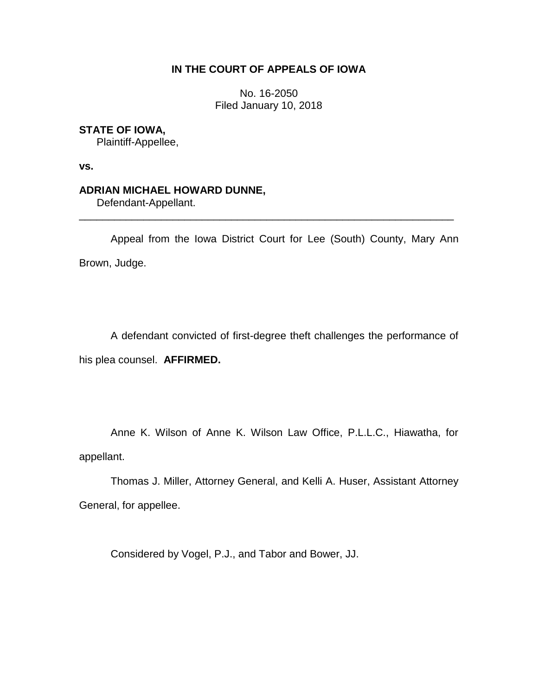## **IN THE COURT OF APPEALS OF IOWA**

No. 16-2050 Filed January 10, 2018

## **STATE OF IOWA,**

Plaintiff-Appellee,

**vs.**

# **ADRIAN MICHAEL HOWARD DUNNE,**

Defendant-Appellant.

Appeal from the Iowa District Court for Lee (South) County, Mary Ann Brown, Judge.

\_\_\_\_\_\_\_\_\_\_\_\_\_\_\_\_\_\_\_\_\_\_\_\_\_\_\_\_\_\_\_\_\_\_\_\_\_\_\_\_\_\_\_\_\_\_\_\_\_\_\_\_\_\_\_\_\_\_\_\_\_\_\_\_

A defendant convicted of first-degree theft challenges the performance of his plea counsel. **AFFIRMED.**

Anne K. Wilson of Anne K. Wilson Law Office, P.L.L.C., Hiawatha, for appellant.

Thomas J. Miller, Attorney General, and Kelli A. Huser, Assistant Attorney General, for appellee.

Considered by Vogel, P.J., and Tabor and Bower, JJ.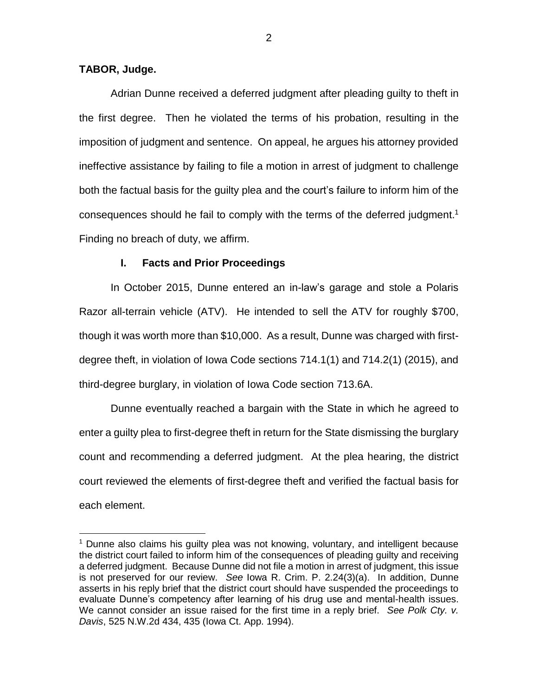## **TABOR, Judge.**

 $\overline{a}$ 

Adrian Dunne received a deferred judgment after pleading guilty to theft in the first degree. Then he violated the terms of his probation, resulting in the imposition of judgment and sentence. On appeal, he argues his attorney provided ineffective assistance by failing to file a motion in arrest of judgment to challenge both the factual basis for the guilty plea and the court's failure to inform him of the consequences should he fail to comply with the terms of the deferred judgment.<sup>1</sup> Finding no breach of duty, we affirm.

## **I. Facts and Prior Proceedings**

In October 2015, Dunne entered an in-law's garage and stole a Polaris Razor all-terrain vehicle (ATV). He intended to sell the ATV for roughly \$700, though it was worth more than \$10,000. As a result, Dunne was charged with firstdegree theft, in violation of Iowa Code sections 714.1(1) and 714.2(1) (2015), and third-degree burglary, in violation of Iowa Code section 713.6A.

Dunne eventually reached a bargain with the State in which he agreed to enter a guilty plea to first-degree theft in return for the State dismissing the burglary count and recommending a deferred judgment. At the plea hearing, the district court reviewed the elements of first-degree theft and verified the factual basis for each element.

<sup>1</sup> Dunne also claims his guilty plea was not knowing, voluntary, and intelligent because the district court failed to inform him of the consequences of pleading guilty and receiving a deferred judgment. Because Dunne did not file a motion in arrest of judgment, this issue is not preserved for our review. *See* Iowa R. Crim. P. 2.24(3)(a). In addition, Dunne asserts in his reply brief that the district court should have suspended the proceedings to evaluate Dunne's competency after learning of his drug use and mental-health issues. We cannot consider an issue raised for the first time in a reply brief. *See Polk Cty. v. Davis*, 525 N.W.2d 434, 435 (Iowa Ct. App. 1994).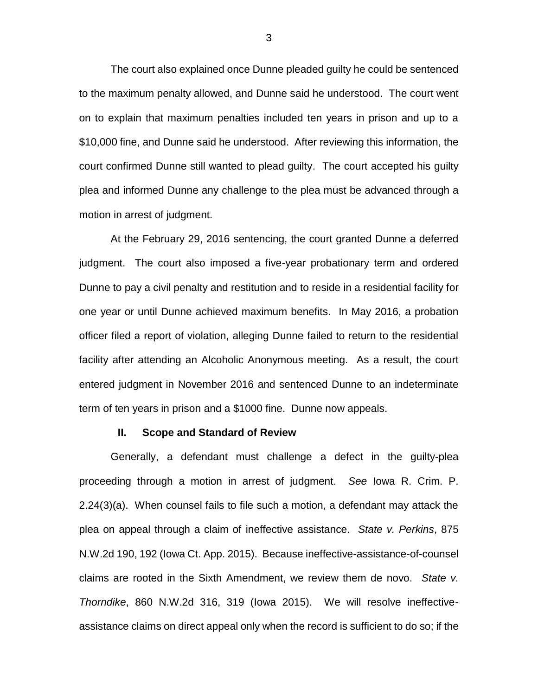The court also explained once Dunne pleaded guilty he could be sentenced to the maximum penalty allowed, and Dunne said he understood. The court went on to explain that maximum penalties included ten years in prison and up to a \$10,000 fine, and Dunne said he understood. After reviewing this information, the court confirmed Dunne still wanted to plead guilty. The court accepted his guilty plea and informed Dunne any challenge to the plea must be advanced through a motion in arrest of judgment.

At the February 29, 2016 sentencing, the court granted Dunne a deferred judgment. The court also imposed a five-year probationary term and ordered Dunne to pay a civil penalty and restitution and to reside in a residential facility for one year or until Dunne achieved maximum benefits. In May 2016, a probation officer filed a report of violation, alleging Dunne failed to return to the residential facility after attending an Alcoholic Anonymous meeting. As a result, the court entered judgment in November 2016 and sentenced Dunne to an indeterminate term of ten years in prison and a \$1000 fine. Dunne now appeals.

#### **II. Scope and Standard of Review**

Generally, a defendant must challenge a defect in the guilty-plea proceeding through a motion in arrest of judgment. *See* Iowa R. Crim. P. 2.24(3)(a). When counsel fails to file such a motion, a defendant may attack the plea on appeal through a claim of ineffective assistance. *State v. Perkins*, 875 N.W.2d 190, 192 (Iowa Ct. App. 2015). Because ineffective-assistance-of-counsel claims are rooted in the Sixth Amendment, we review them de novo. *State v. Thorndike*, 860 N.W.2d 316, 319 (Iowa 2015). We will resolve ineffectiveassistance claims on direct appeal only when the record is sufficient to do so; if the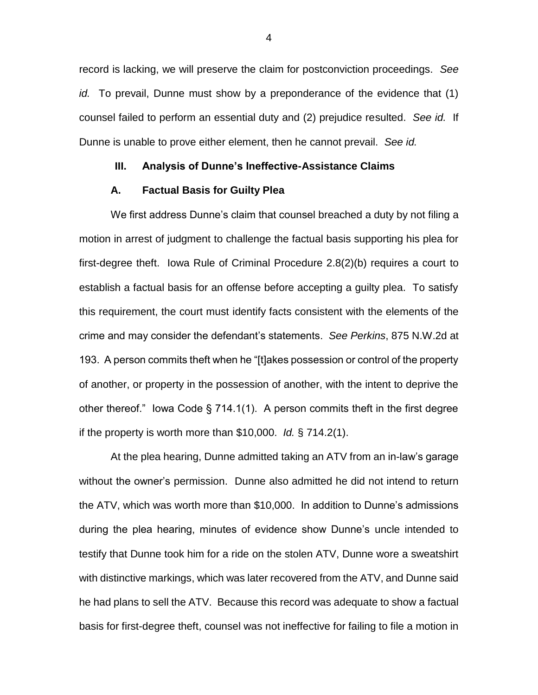record is lacking, we will preserve the claim for postconviction proceedings. *See id.* To prevail, Dunne must show by a preponderance of the evidence that (1) counsel failed to perform an essential duty and (2) prejudice resulted. *See id.* If Dunne is unable to prove either element, then he cannot prevail. *See id.*

## **III. Analysis of Dunne's Ineffective-Assistance Claims**

#### **A. Factual Basis for Guilty Plea**

We first address Dunne's claim that counsel breached a duty by not filing a motion in arrest of judgment to challenge the factual basis supporting his plea for first-degree theft. Iowa Rule of Criminal Procedure 2.8(2)(b) requires a court to establish a factual basis for an offense before accepting a guilty plea. To satisfy this requirement, the court must identify facts consistent with the elements of the crime and may consider the defendant's statements. *See Perkins*, 875 N.W.2d at 193. A person commits theft when he "[t]akes possession or control of the property of another, or property in the possession of another, with the intent to deprive the other thereof." Iowa Code § 714.1(1). A person commits theft in the first degree if the property is worth more than \$10,000. *Id.* § 714.2(1).

At the plea hearing, Dunne admitted taking an ATV from an in-law's garage without the owner's permission. Dunne also admitted he did not intend to return the ATV, which was worth more than \$10,000. In addition to Dunne's admissions during the plea hearing, minutes of evidence show Dunne's uncle intended to testify that Dunne took him for a ride on the stolen ATV, Dunne wore a sweatshirt with distinctive markings, which was later recovered from the ATV, and Dunne said he had plans to sell the ATV. Because this record was adequate to show a factual basis for first-degree theft, counsel was not ineffective for failing to file a motion in